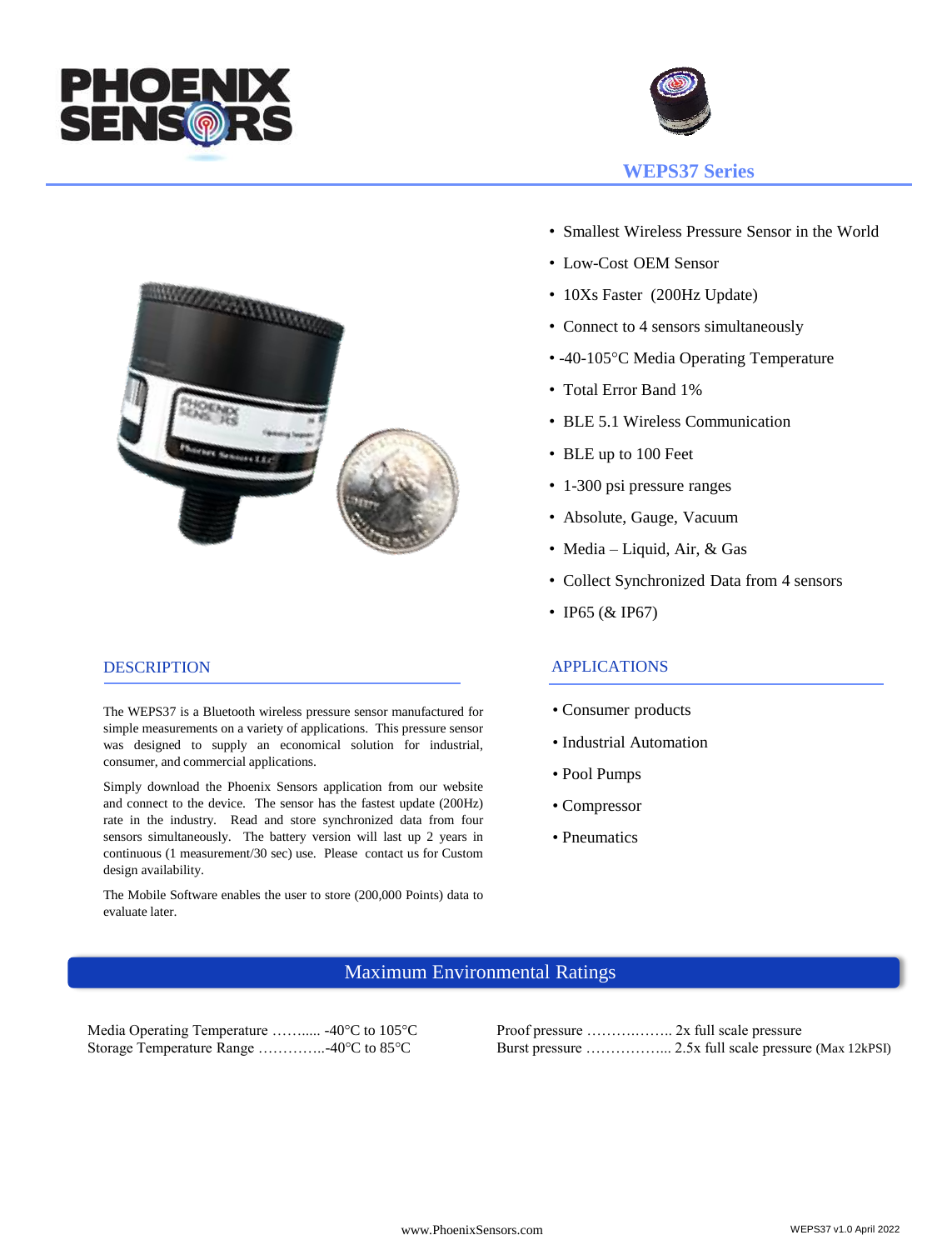



### DESCRIPTION

The WEPS37 is a Bluetooth wireless pressure sensor manufactured for simple measurements on a variety of applications. This pressure sensor was designed to supply an economical solution for industrial, consumer, and commercial applications.

Simply download the Phoenix Sensors application from our website and connect to the device. The sensor has the fastest update (200Hz) rate in the industry. Read and store synchronized data from four sensors simultaneously. The battery version will last up 2 years in continuous (1 measurement/30 sec) use. Please contact us for Custom design availability.

The Mobile Software enables the user to store (200,000 Points) data to evaluate later.



- Smallest Wireless Pressure Sensor in the World
- Low-Cost OEM Sensor
- 10Xs Faster (200Hz Update)
- Connect to 4 sensors simultaneously
- -40-105°C Media Operating Temperature
- Total Error Band 1%
- BLE 5.1 Wireless Communication
- BLE up to 100 Feet
- 1-300 psi pressure ranges
- Absolute, Gauge, Vacuum
- Media Liquid, Air, & Gas
- Collect Synchronized Data from 4 sensors
- IP65 (& IP67)

## APPLICATIONS

- Consumer products
- Industrial Automation
- Pool Pumps
- Compressor
- Pneumatics

# Maximum Environmental Ratings

Media Operating Temperature …….... -40°C to 105°C Proof pressure ……............. 2x full scale pressure

Storage Temperature Range …………..-40°C to 85°C Burst pressure ……………... 2.5x full scale pressure (Max 12kPSI)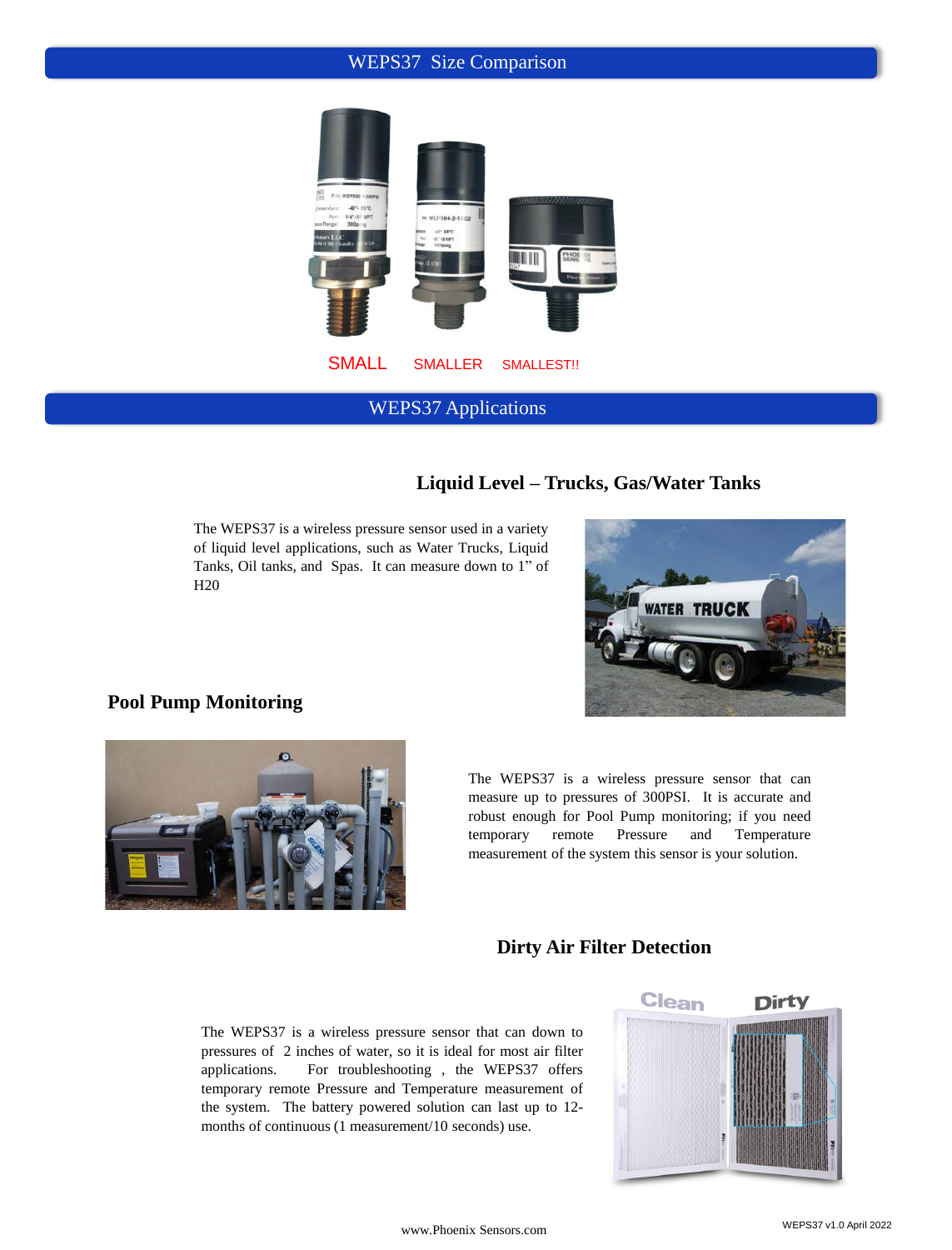## WEPS37 Size Comparison



WEPS37 Applications

# **Liquid Level – Trucks, Gas/Water Tanks**

The WEPS37 is a wireless pressure sensor used in a variety of liquid level applications, such as Water Trucks, Liquid Tanks, Oil tanks, and Spas. It can measure down to 1" of H20



## **Pool Pump Monitoring**



The WEPS37 is a wireless pressure sensor that can measure up to pressures of 300PSI. It is accurate and robust enough for Pool Pump monitoring; if you need temporary remote Pressure and Temperature measurement of the system this sensor is your solution.

## **Dirty Air Filter Detection**

The WEPS37 is a wireless pressure sensor that can down to pressures of 2 inches of water, so it is ideal for most air filter applications. For troubleshooting , the WEPS37 offers temporary remote Pressure and Temperature measurement of the system. The battery powered solution can last up to 12 months of continuous (1 measurement/10 seconds) use.

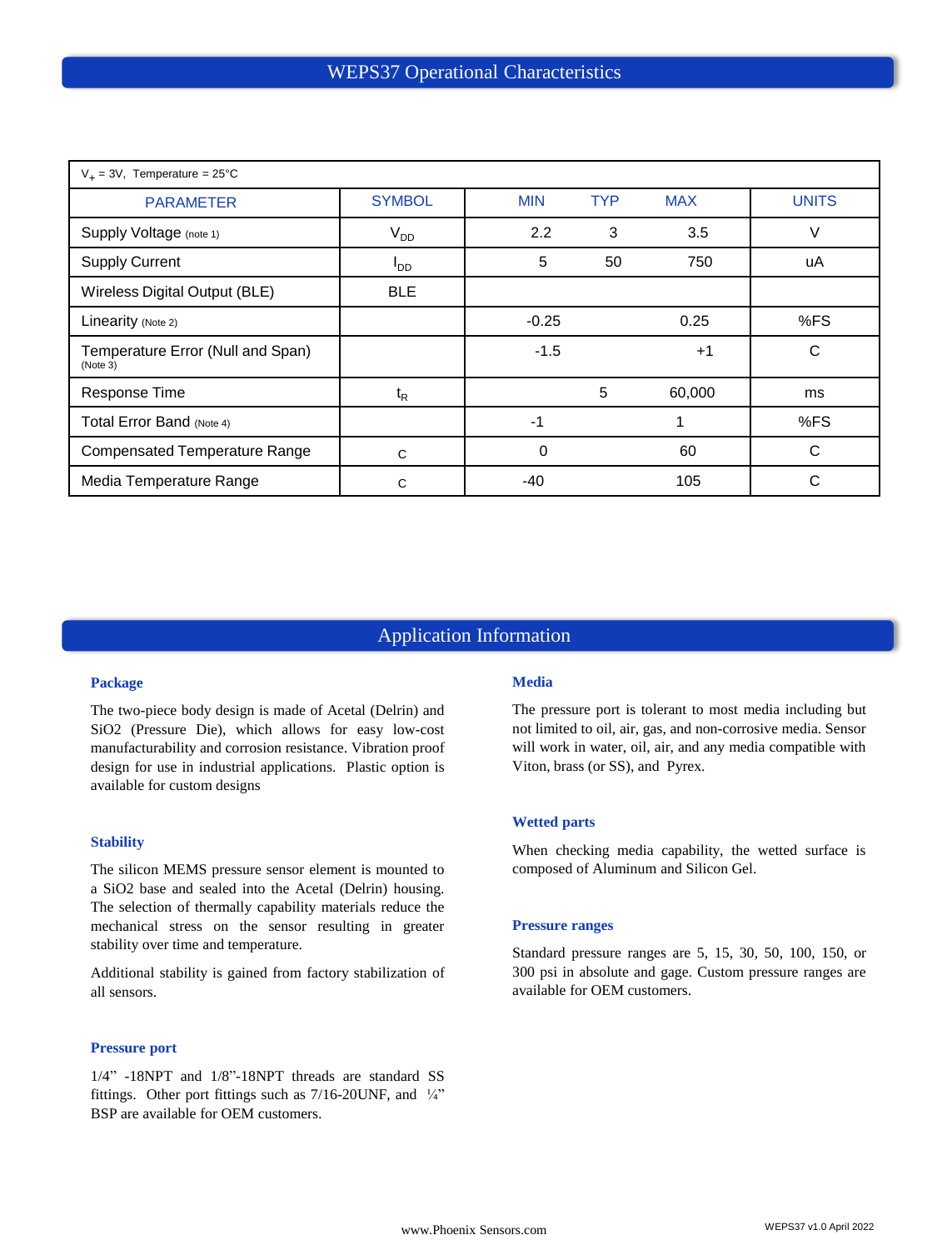| $V_+$ = 3V, Temperature = 25°C                |                 |            |            |            |              |
|-----------------------------------------------|-----------------|------------|------------|------------|--------------|
| <b>PARAMETER</b>                              | <b>SYMBOL</b>   | <b>MIN</b> | <b>TYP</b> | <b>MAX</b> | <b>UNITS</b> |
| Supply Voltage (note 1)                       | $V_{DD}$        | 2.2        | 3          | 3.5        | V            |
| <b>Supply Current</b>                         | OD <sup>I</sup> | 5          | 50         | 750        | uA           |
| Wireless Digital Output (BLE)                 | <b>BLE</b>      |            |            |            |              |
| Linearity (Note 2)                            |                 | $-0.25$    |            | 0.25       | %FS          |
| Temperature Error (Null and Span)<br>(Note 3) |                 | $-1.5$     |            | $+1$       | C            |
| Response Time                                 | $t_{R}$         |            | 5          | 60,000     | ms           |
| Total Error Band (Note 4)                     |                 | -1         |            |            | %FS          |
| <b>Compensated Temperature Range</b>          | C               | 0          |            | 60         | C            |
| Media Temperature Range                       | C               | $-40$      |            | 105        | C            |

# Application Information

### **Package**

The two-piece body design is made of Acetal (Delrin) and SiO2 (Pressure Die), which allows for easy low-cost manufacturability and corrosion resistance. Vibration proof design for use in industrial applications. Plastic option is available for custom designs

### **Stability**

The silicon MEMS pressure sensor element is mounted to a SiO2 base and sealed into the Acetal (Delrin) housing. The selection of thermally capability materials reduce the mechanical stress on the sensor resulting in greater stability over time and temperature.

Additional stability is gained from factory stabilization of all sensors.

#### **Pressure port**

1/4" -18NPT and 1/8"-18NPT threads are standard SS fittings. Other port fittings such as 7/16-20UNF, and ¼" BSP are available for OEM customers.

#### **Media**

The pressure port is tolerant to most media including but not limited to oil, air, gas, and non-corrosive media. Sensor will work in water, oil, air, and any media compatible with Viton, brass (or SS), and Pyrex.

### **Wetted parts**

When checking media capability, the wetted surface is composed of Aluminum and Silicon Gel.

#### **Pressure ranges**

Standard pressure ranges are 5, 15, 30, 50, 100, 150, or 300 psi in absolute and gage. Custom pressure ranges are available for OEM customers.